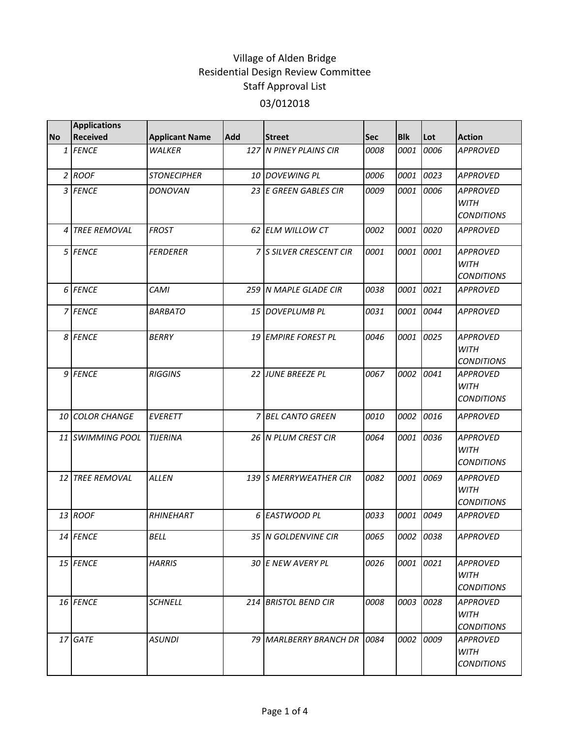|                | <b>Applications</b> |                       |            |                              |      |            |      |                                                     |
|----------------|---------------------|-----------------------|------------|------------------------------|------|------------|------|-----------------------------------------------------|
| <b>No</b>      | <b>Received</b>     | <b>Applicant Name</b> | <b>Add</b> | <b>Street</b>                | Sec  | <b>Blk</b> | Lot  | <b>Action</b>                                       |
|                | 1 FENCE             | <b>WALKER</b>         |            | 127 N PINEY PLAINS CIR       | 0008 | 0001       | 0006 | <b>APPROVED</b>                                     |
|                | $2$ ROOF            | <b>STONECIPHER</b>    |            | 10 DOVEWING PL               | 0006 | 0001       | 0023 | <b>APPROVED</b>                                     |
|                | 3 FENCE             | DONOVAN               |            | 23 E GREEN GABLES CIR        | 0009 | 0001       | 0006 | <b>APPROVED</b><br><b>WITH</b><br><b>CONDITIONS</b> |
| $\overline{4}$ | <b>TREE REMOVAL</b> | <b>FROST</b>          |            | 62 ELM WILLOW CT             | 0002 | 0001       | 0020 | <b>APPROVED</b>                                     |
|                | 5 FENCE             | <b>FERDERER</b>       |            | 7 S SILVER CRESCENT CIR      | 0001 | 0001       | 0001 | <b>APPROVED</b><br><b>WITH</b><br><b>CONDITIONS</b> |
|                | 6 FENCE             | CAMI                  |            | 259 N MAPLE GLADE CIR        | 0038 | 0001       | 0021 | <b>APPROVED</b>                                     |
|                | 7 FENCE             | <b>BARBATO</b>        |            | 15 DOVEPLUMB PL              | 0031 | 0001       | 0044 | <b>APPROVED</b>                                     |
|                | 8 FENCE             | <b>BERRY</b>          |            | 19 EMPIRE FOREST PL          | 0046 | 0001       | 0025 | <b>APPROVED</b><br><b>WITH</b><br><b>CONDITIONS</b> |
|                | 9 FENCE             | <b>RIGGINS</b>        |            | 22 JUNE BREEZE PL            | 0067 | 0002       | 0041 | <b>APPROVED</b><br><b>WITH</b><br><b>CONDITIONS</b> |
|                | 10 COLOR CHANGE     | <b>EVERETT</b>        |            | 7 BEL CANTO GREEN            | 0010 | 0002       | 0016 | <b>APPROVED</b>                                     |
|                | 11 SWIMMING POOL    | <b>TIJERINA</b>       |            | 26 N PLUM CREST CIR          | 0064 | 0001       | 0036 | <b>APPROVED</b><br><b>WITH</b><br><b>CONDITIONS</b> |
|                | 12 TREE REMOVAL     | <b>ALLEN</b>          |            | 139 S MERRYWEATHER CIR       | 0082 | 0001       | 0069 | <b>APPROVED</b><br><b>WITH</b><br><b>CONDITIONS</b> |
|                | 13 ROOF             | <b>RHINEHART</b>      | 6          | <b>EASTWOOD PL</b>           | 0033 | 0001       | 0049 | <b>APPROVED</b>                                     |
|                | 14 FENCE            | <b>BELL</b>           |            | 35 N GOLDENVINE CIR          | 0065 | 0002 0038  |      | <b>APPROVED</b>                                     |
|                | 15 FENCE            | <b>HARRIS</b>         |            | 30 E NEW AVERY PL            | 0026 | 0001       | 0021 | <b>APPROVED</b><br>WITH<br><i>CONDITIONS</i>        |
|                | 16 FENCE            | <b>SCHNELL</b>        |            | 214 BRISTOL BEND CIR         | 0008 | 0003       | 0028 | <b>APPROVED</b><br>WITH<br><i>CONDITIONS</i>        |
|                | 17 GATE             | <b>ASUNDI</b>         |            | 79 MARLBERRY BRANCH DR 10084 |      | 0002       | 0009 | APPROVED<br>WITH<br><b>CONDITIONS</b>               |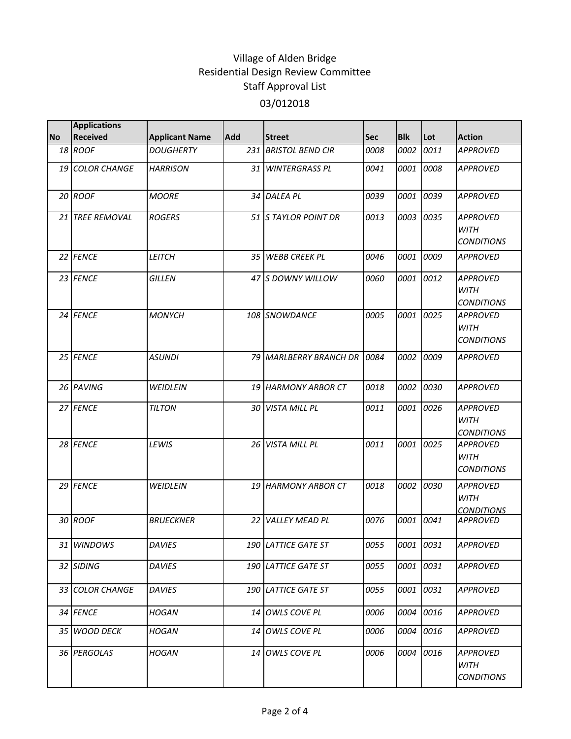|           | <b>Applications</b> |                       |                 |                         |      |            |           |                                                     |
|-----------|---------------------|-----------------------|-----------------|-------------------------|------|------------|-----------|-----------------------------------------------------|
| <b>No</b> | <b>Received</b>     | <b>Applicant Name</b> | <b>Add</b>      | <b>Street</b>           | Sec  | <b>Blk</b> | Lot       | <b>Action</b>                                       |
|           | 18 ROOF             | <b>DOUGHERTY</b>      | 231             | <b>BRISTOL BEND CIR</b> | 0008 | 0002       | 0011      | <b>APPROVED</b>                                     |
|           | 19 COLOR CHANGE     | <b>HARRISON</b>       |                 | 31 WINTERGRASS PL       | 0041 |            | 0001 0008 | <b>APPROVED</b>                                     |
|           | 20 ROOF             | <b>MOORE</b>          |                 | 34 DALEA PL             | 0039 |            | 0001 0039 | <b>APPROVED</b>                                     |
|           | 21 TREE REMOVAL     | <b>ROGERS</b>         |                 | 51 STAYLOR POINT DR     | 0013 | 0003       | 0035      | <b>APPROVED</b><br><b>WITH</b><br><b>CONDITIONS</b> |
|           | 22 FENCE            | LEITCH                | 35 <sub>1</sub> | <b>WEBB CREEK PL</b>    | 0046 | 0001       | 0009      | <b>APPROVED</b>                                     |
|           | 23 FENCE            | <b>GILLEN</b>         |                 | 47 IS DOWNY WILLOW      | 0060 | 0001       | 0012      | <b>APPROVED</b><br><b>WITH</b><br><b>CONDITIONS</b> |
|           | 24 FENCE            | <b>MONYCH</b>         |                 | 108 SNOWDANCE           | 0005 |            | 0001 0025 | <b>APPROVED</b><br><b>WITH</b><br><b>CONDITIONS</b> |
|           | 25 FENCE            | <b>ASUNDI</b>         |                 | 79 MARLBERRY BRANCH DR  | 0084 | 0002       | 0009      | <b>APPROVED</b>                                     |
|           | 26 PAVING           | WEIDLEIN              |                 | 19 HARMONY ARBOR CT     | 0018 |            | 0002 0030 | <b>APPROVED</b>                                     |
|           | 27 FENCE            | <b>TILTON</b>         |                 | 30 VISTA MILL PL        | 0011 | 0001       | 0026      | <b>APPROVED</b><br><b>WITH</b><br><b>CONDITIONS</b> |
|           | 28 FENCE            | LEWIS                 |                 | 26 VISTA MILL PL        | 0011 | 0001       | 0025      | <b>APPROVED</b><br><b>WITH</b><br><b>CONDITIONS</b> |
|           | 29 FENCE            | WEIDLEIN              |                 | 19 HARMONY ARBOR CT     | 0018 | 0002       | 0030      | <b>APPROVED</b><br><b>WITH</b><br><b>CONDITIONS</b> |
|           | 30 ROOF             | <b>BRUECKNER</b>      | 22              | <b>VALLEY MEAD PL</b>   | 0076 | 0001       | 0041      | <b>APPROVED</b>                                     |
|           | 31 WINDOWS          | <b>DAVIES</b>         |                 | 190 LATTICE GATE ST     | 0055 |            | 0001 0031 | <b>APPROVED</b>                                     |
|           | 32 SIDING           | <b>DAVIES</b>         |                 | 190 LATTICE GATE ST     | 0055 |            | 0001 0031 | <b>APPROVED</b>                                     |
|           | 33 COLOR CHANGE     | <b>DAVIES</b>         |                 | 190 LATTICE GATE ST     | 0055 |            | 0001 0031 | APPROVED                                            |
|           | 34 FENCE            | <b>HOGAN</b>          |                 | 14 OWLS COVE PL         | 0006 |            | 0004 0016 | <b>APPROVED</b>                                     |
|           | 35 WOOD DECK        | HOGAN                 | 14              | OWLS COVE PL            | 0006 | 0004       | 0016      | <b>APPROVED</b>                                     |
|           | 36 PERGOLAS         | <b>HOGAN</b>          |                 | 14 OWLS COVE PL         | 0006 |            | 0004 0016 | APPROVED<br><b>WITH</b><br><b>CONDITIONS</b>        |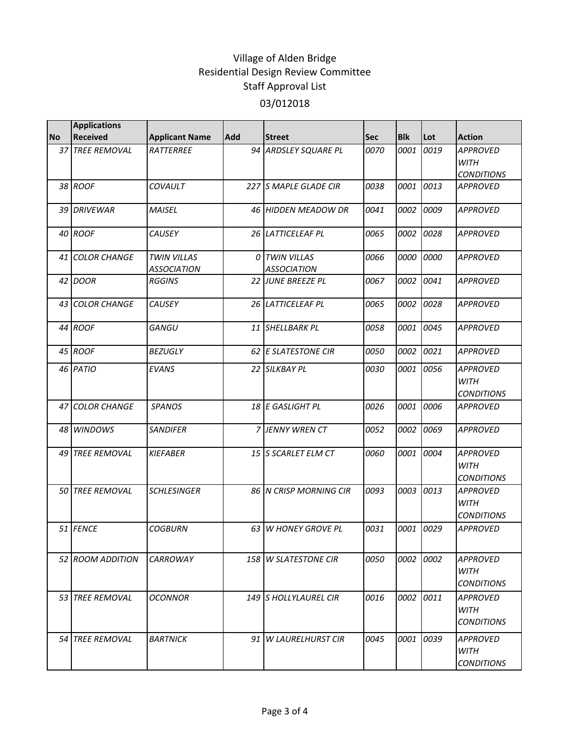|           | <b>Applications</b> |                                          |            |                                            |      |            |      |                                                     |
|-----------|---------------------|------------------------------------------|------------|--------------------------------------------|------|------------|------|-----------------------------------------------------|
| <b>No</b> | <b>Received</b>     | <b>Applicant Name</b>                    | <b>Add</b> | <b>Street</b>                              | Sec  | <b>Blk</b> | Lot  | <b>Action</b>                                       |
|           | 37 TREE REMOVAL     | RATTERREE                                |            | 94 ARDSLEY SQUARE PL                       | 0070 | 0001       | 0019 | <b>APPROVED</b><br><b>WITH</b><br><b>CONDITIONS</b> |
|           | 38 ROOF             | COVAULT                                  |            | 227 S MAPLE GLADE CIR                      | 0038 | 0001       | 0013 | <b>APPROVED</b>                                     |
|           | 39 DRIVEWAR         | <b>MAISEL</b>                            |            | 46 HIDDEN MEADOW DR                        | 0041 | 0002       | 0009 | <b>APPROVED</b>                                     |
|           | 40 ROOF             | CAUSEY                                   |            | 26 LATTICELEAF PL                          | 0065 | 0002       | 0028 | <b>APPROVED</b>                                     |
|           | 41 COLOR CHANGE     | <b>TWIN VILLAS</b><br><b>ASSOCIATION</b> |            | <b>O TWIN VILLAS</b><br><b>ASSOCIATION</b> | 0066 | 0000       | 0000 | <b>APPROVED</b>                                     |
|           | 42 DOOR             | <b>RGGINS</b>                            |            | 22 JUNE BREEZE PL                          | 0067 | 0002       | 0041 | <b>APPROVED</b>                                     |
|           | 43 COLOR CHANGE     | <b>CAUSEY</b>                            |            | 26 LATTICELEAF PL                          | 0065 | 0002       | 0028 | <b>APPROVED</b>                                     |
|           | 44 ROOF             | GANGU                                    |            | 11 SHELLBARK PL                            | 0058 | 0001       | 0045 | <b>APPROVED</b>                                     |
|           | 45 ROOF             | <b>BEZUGLY</b>                           |            | 62 E SLATESTONE CIR                        | 0050 | 0002       | 0021 | <b>APPROVED</b>                                     |
|           | 46 PATIO            | <b>EVANS</b>                             |            | 22 SILKBAY PL                              | 0030 | 0001       | 0056 | <b>APPROVED</b><br><b>WITH</b><br><b>CONDITIONS</b> |
|           | 47 COLOR CHANGE     | <b>SPANOS</b>                            |            | 18 E GASLIGHT PL                           | 0026 | 0001       | 0006 | <b>APPROVED</b>                                     |
|           | 48 WINDOWS          | <b>SANDIFER</b>                          |            | <b>7 JENNY WREN CT</b>                     | 0052 | 0002       | 0069 | <b>APPROVED</b>                                     |
|           | 49 TREE REMOVAL     | <b>KIEFABER</b>                          |            | 15 S SCARLET ELM CT                        | 0060 | 0001       | 0004 | <b>APPROVED</b><br><b>WITH</b><br><b>CONDITIONS</b> |
|           | 50 TREE REMOVAL     | <b>SCHLESINGER</b>                       |            | 86 N CRISP MORNING CIR                     | 0093 | 0003       | 0013 | <b>APPROVED</b><br><b>WITH</b><br><b>CONDITIONS</b> |
|           | 51 FENCE            | <b>COGBURN</b>                           |            | 63 W HONEY GROVE PL                        | 0031 | 0001       | 0029 | <b>APPROVED</b>                                     |
|           | 52 ROOM ADDITION    | <b>CARROWAY</b>                          |            | 158 W SLATESTONE CIR                       | 0050 | 0002       | 0002 | <b>APPROVED</b><br><b>WITH</b><br><b>CONDITIONS</b> |
|           | 53 TREE REMOVAL     | <b>OCONNOR</b>                           |            | 149 S HOLLYLAUREL CIR                      | 0016 | 0002       | 0011 | <b>APPROVED</b><br>WITH<br><b>CONDITIONS</b>        |
|           | 54 TREE REMOVAL     | <b>BARTNICK</b>                          |            | 91 W LAURELHURST CIR                       | 0045 | 0001       | 0039 | <b>APPROVED</b><br>WITH<br><b>CONDITIONS</b>        |